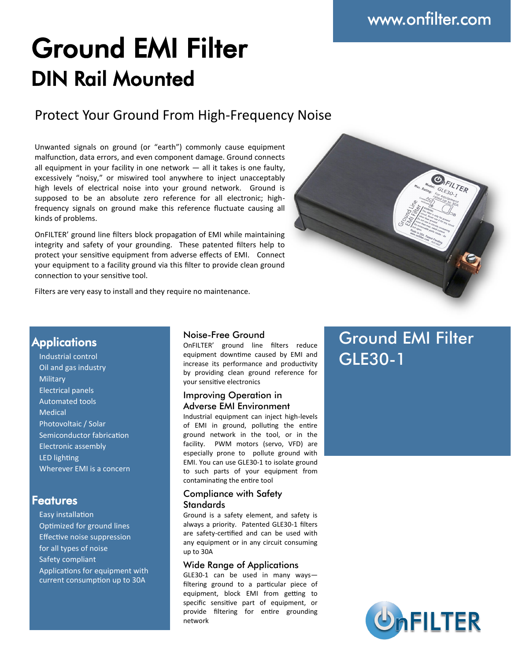# Ground EMI Filter DIN Rail Mounted

### Protect Your Ground From High-Frequency Noise

Unwanted signals on ground (or "earth") commonly cause equipment malfunction, data errors, and even component damage. Ground connects all equipment in your facility in one network — all it takes is one faulty, excessively "noisy," or miswired tool anywhere to inject unacceptably high levels of electrical noise into your ground network. Ground is supposed to be an absolute zero reference for all electronic; highfrequency signals on ground make this reference fluctuate causing all kinds of problems.

OnFILTER' ground line filters block propagation of EMI while maintaining integrity and safety of your grounding. These patented filters help to protect your sensitive equipment from adverse effects of EMI. Connect your equipment to a facility ground via this filter to provide clean ground connection to your sensitive tool.

Filters are very easy to install and they require no maintenance.



### **Applications**

Industrial control Oil and gas industry **Military** Electrical panels Automated tools Medical Photovoltaic / Solar Semiconductor fabrication Electronic assembly LED lighting Wherever EMI is a concern

### Features

Easy installation Optimized for ground lines Effective noise suppression for all types of noise Safety compliant Applications for equipment with current consumption up to 30A

#### Noise-Free Ground

OnFILTER' ground line filters reduce equipment downtime caused by EMI and increase its performance and productivity by providing clean ground reference for your sensitive electronics

#### Improving Operation in Adverse EMI Environment

Industrial equipment can inject high-levels of EMI in ground, polluting the entire ground network in the tool, or in the facility. PWM motors (servo, VFD) are especially prone to pollute ground with EMI. You can use GLE30-1 to isolate ground to such parts of your equipment from contaminating the entire tool

#### Compliance with Safety **Standards**

Ground is a safety element, and safety is always a priority. Patented GLE30-1 filters are safety-certified and can be used with any equipment or in any circuit consuming up to 30A

#### Wide Range of Applications

GLE30-1 can be used in many ways filtering ground to a particular piece of equipment, block EMI from getting to specific sensitive part of equipment, or provide filtering for entire grounding network

# Ground EMI Filter GLE30-1